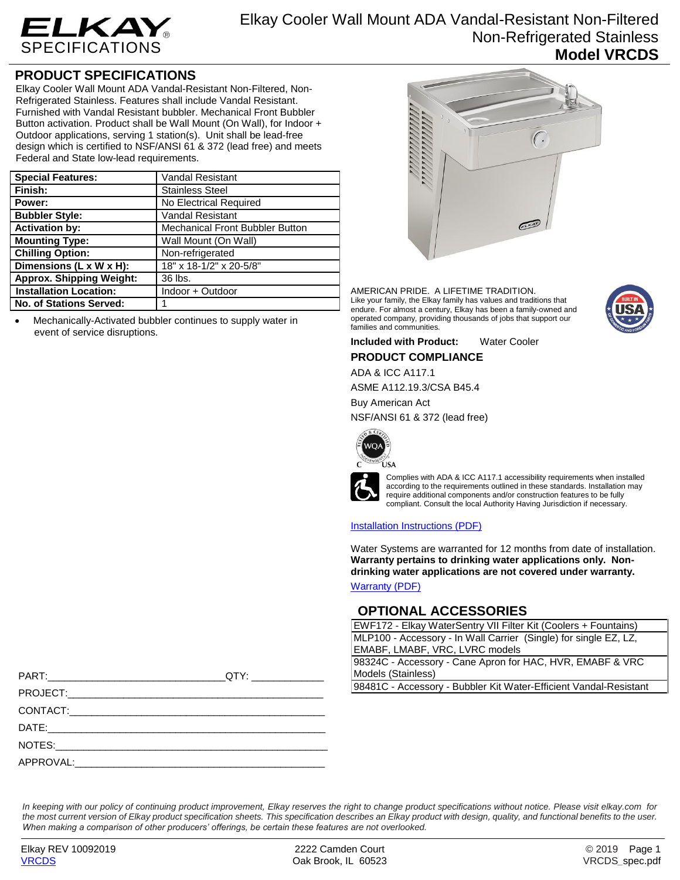

Elkay Cooler Wall Mount ADA Vandal-Resistant Non-Filtered Non-Refrigerated Stainless **Model VRCDS**

## **PRODUCT SPECIFICATIONS**

Elkay Cooler Wall Mount ADA Vandal-Resistant Non-Filtered, Non-Refrigerated Stainless. Features shall include Vandal Resistant. Furnished with Vandal Resistant bubbler. Mechanical Front Bubbler Button activation. Product shall be Wall Mount (On Wall), for Indoor + Outdoor applications, serving 1 station(s). Unit shall be lead-free design which is certified to NSF/ANSI 61 & 372 (lead free) and meets Federal and State low-lead requirements.

| <b>Special Features:</b>             | Vandal Resistant                       |
|--------------------------------------|----------------------------------------|
| Finish:                              | <b>Stainless Steel</b>                 |
| Power:                               | No Electrical Required                 |
| <b>Bubbler Style:</b>                | <b>Vandal Resistant</b>                |
| <b>Activation by:</b>                | <b>Mechanical Front Bubbler Button</b> |
| <b>Mounting Type:</b>                | Wall Mount (On Wall)                   |
| <b>Chilling Option:</b>              | Non-refrigerated                       |
| Dimensions $(L \times W \times H)$ : | 18" x 18-1/2" x 20-5/8"                |
| <b>Approx. Shipping Weight:</b>      | 36 lbs.                                |
| <b>Installation Location:</b>        | Indoor + Outdoor                       |
| <b>No. of Stations Served:</b>       |                                        |

 Mechanically-Activated bubbler continues to supply water in event of service disruptions.



AMERICAN PRIDE. A LIFETIME TRADITION. Like your family, the Elkay family has values and traditions that endure. For almost a century, Elkay has been a family-owned and operated company, providing thousands of jobs that support our families and communities.



**Included with Product:** Water Cooler

**PRODUCT COMPLIANCE**

ADA & ICC A117.1

ASME A112.19.3/CSA B45.4

Buy American Act

NSF/ANSI 61 & 372 (lead free)



Complies with ADA & ICC A117.1 accessibility requirements when installed according to the requirements outlined in these standards. Installation may require additional components and/or construction features to be fully compliant. Consult the local Authority Having Jurisdiction if necessary.

[Installation Instructions \(PDF\)](http://www.elkay.com/wcsstore/lkdocs/care-cleaning-install-warranty-sheets/98956c.pdf)

Water Systems are warranted for 12 months from date of installation. **Warranty pertains to drinking water applications only. Nondrinking water applications are not covered under warranty.**

[Warranty](http://www.elkay.com/wcsstore/lkdocs/care-cleaning-install-warranty-sheets/96993c.pdf) (PDF)

## **OPTIONAL ACCESSORIES**

EWF172 - Elkay WaterSentry VII Filter Kit (Coolers + Fountains) MLP100 - Accessory - In Wall Carrier (Single) for single EZ, LZ, EMABF, LMABF, VRC, LVRC models

98324C - Accessory - Cane Apron for HAC, HVR, EMABF & VRC Models (Stainless)

98481C - Accessory - Bubbler Kit Water-Efficient Vandal-Resistant

|                                                                                                                                                                                                                                | QTY: ________________ |
|--------------------------------------------------------------------------------------------------------------------------------------------------------------------------------------------------------------------------------|-----------------------|
| <b>PROJECT:</b> PROJECT:                                                                                                                                                                                                       |                       |
| CONTACT: the contract of the contract of the contract of the contract of the contract of the contract of the contract of the contract of the contract of the contract of the contract of the contract of the contract of the c |                       |
|                                                                                                                                                                                                                                |                       |
| NOTES:                                                                                                                                                                                                                         |                       |

APPROVAL:

*In keeping with our policy of continuing product improvement, Elkay reserves the right to change product specifications without notice. Please visit elkay.com for the most current version of Elkay product specification sheets. This specification describes an Elkay product with design, quality, and functional benefits to the user. When making a comparison of other producers' offerings, be certain these features are not overlooked.*